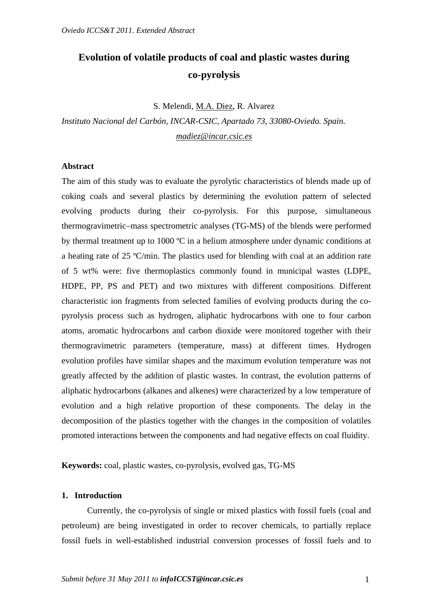# **Evolution of volatile products of coal and plastic wastes during co-pyrolysis**

S. Melendi, M.A. Diez, R. Alvarez

*Instituto Nacional del Carbón, INCAR-CSIC, Apartado 73, 33080-Oviedo. Spain. madiez@incar.csic.es*

## **Abstract**

The aim of this study was to evaluate the pyrolytic characteristics of blends made up of coking coals and several plastics by determining the evolution pattern of selected evolving products during their co-pyrolysis. For this purpose, simultaneous thermogravimetric–mass spectrometric analyses (TG-MS) of the blends were performed by thermal treatment up to 1000 ºC in a helium atmosphere under dynamic conditions at a heating rate of 25 ºC/min. The plastics used for blending with coal at an addition rate of 5 wt% were: five thermoplastics commonly found in municipal wastes (LDPE, HDPE, PP, PS and PET) and two mixtures with different compositions. Different characteristic ion fragments from selected families of evolving products during the copyrolysis process such as hydrogen, aliphatic hydrocarbons with one to four carbon atoms, aromatic hydrocarbons and carbon dioxide were monitored together with their thermogravimetric parameters (temperature, mass) at different times. Hydrogen evolution profiles have similar shapes and the maximum evolution temperature was not greatly affected by the addition of plastic wastes. In contrast, the evolution patterns of aliphatic hydrocarbons (alkanes and alkenes) were characterized by a low temperature of evolution and a high relative proportion of these components. The delay in the decomposition of the plastics together with the changes in the composition of volatiles promoted interactions between the components and had negative effects on coal fluidity.

**Keywords:** coal, plastic wastes, co-pyrolysis, evolved gas, TG-MS

## **1. Introduction**

 Currently, the co-pyrolysis of single or mixed plastics with fossil fuels (coal and petroleum) are being investigated in order to recover chemicals, to partially replace fossil fuels in well-established industrial conversion processes of fossil fuels and to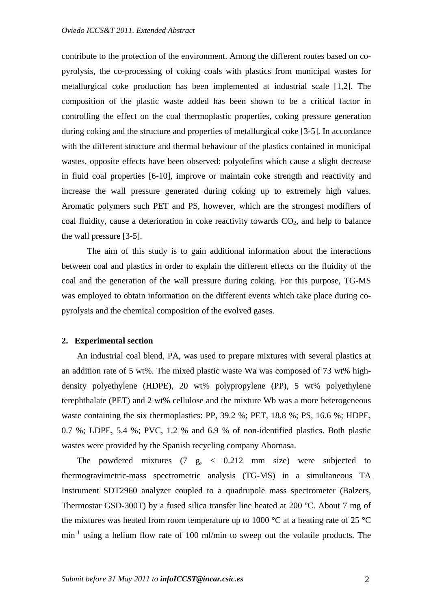contribute to the protection of the environment. Among the different routes based on copyrolysis, the co-processing of coking coals with plastics from municipal wastes for metallurgical coke production has been implemented at industrial scale [1,2]. The composition of the plastic waste added has been shown to be a critical factor in controlling the effect on the coal thermoplastic properties, coking pressure generation during coking and the structure and properties of metallurgical coke [3-5]. In accordance with the different structure and thermal behaviour of the plastics contained in municipal wastes, opposite effects have been observed: polyolefins which cause a slight decrease in fluid coal properties [6-10], improve or maintain coke strength and reactivity and increase the wall pressure generated during coking up to extremely high values. Aromatic polymers such PET and PS, however, which are the strongest modifiers of coal fluidity, cause a deterioration in coke reactivity towards  $CO<sub>2</sub>$ , and help to balance the wall pressure [3-5].

 The aim of this study is to gain additional information about the interactions between coal and plastics in order to explain the different effects on the fluidity of the coal and the generation of the wall pressure during coking. For this purpose, TG-MS was employed to obtain information on the different events which take place during copyrolysis and the chemical composition of the evolved gases.

#### **2. Experimental section**

 An industrial coal blend, PA, was used to prepare mixtures with several plastics at an addition rate of 5 wt%. The mixed plastic waste Wa was composed of 73 wt% highdensity polyethylene (HDPE), 20 wt% polypropylene (PP), 5 wt% polyethylene terephthalate (PET) and 2 wt% cellulose and the mixture Wb was a more heterogeneous waste containing the six thermoplastics: PP, 39.2 %; PET, 18.8 %; PS, 16.6 %; HDPE, 0.7 %; LDPE, 5.4 %; PVC, 1.2 % and 6.9 % of non-identified plastics. Both plastic wastes were provided by the Spanish recycling company Abornasa.

 The powdered mixtures (7 g, < 0.212 mm size) were subjected to thermogravimetric-mass spectrometric analysis (TG-MS) in a simultaneous TA Instrument SDT2960 analyzer coupled to a quadrupole mass spectrometer (Balzers, Thermostar GSD-300T) by a fused silica transfer line heated at 200 ºC. About 7 mg of the mixtures was heated from room temperature up to 1000  $^{\circ}$ C at a heating rate of 25  $^{\circ}$ C min-1 using a helium flow rate of 100 ml/min to sweep out the volatile products. The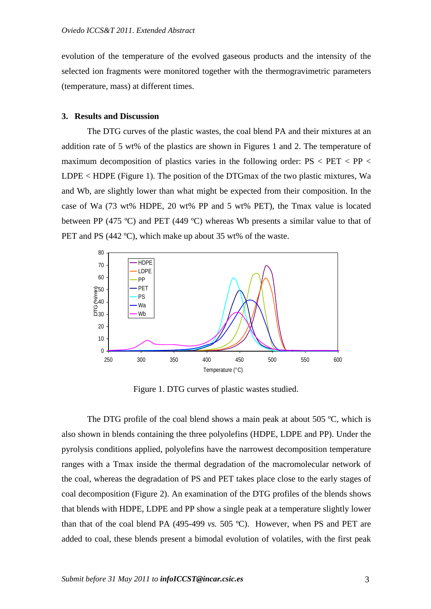evolution of the temperature of the evolved gaseous products and the intensity of the selected ion fragments were monitored together with the thermogravimetric parameters (temperature, mass) at different times.

## **3. Results and Discussion**

 The DTG curves of the plastic wastes, the coal blend PA and their mixtures at an addition rate of 5 wt% of the plastics are shown in Figures 1 and 2. The temperature of maximum decomposition of plastics varies in the following order:  $PS < PET < PP <$ LDPE < HDPE (Figure 1). The position of the DTGmax of the two plastic mixtures, Wa and Wb, are slightly lower than what might be expected from their composition. In the case of Wa (73 wt% HDPE, 20 wt% PP and 5 wt% PET), the Tmax value is located between PP (475 °C) and PET (449 °C) whereas Wb presents a similar value to that of PET and PS (442 °C), which make up about 35 wt% of the waste.



Figure 1. DTG curves of plastic wastes studied.

The DTG profile of the coal blend shows a main peak at about 505 °C, which is also shown in blends containing the three polyolefins (HDPE, LDPE and PP). Under the pyrolysis conditions applied, polyolefins have the narrowest decomposition temperature ranges with a Tmax inside the thermal degradation of the macromolecular network of the coal, whereas the degradation of PS and PET takes place close to the early stages of coal decomposition (Figure 2). An examination of the DTG profiles of the blends shows that blends with HDPE, LDPE and PP show a single peak at a temperature slightly lower than that of the coal blend PA (495-499 *vs.* 505 ºC). However, when PS and PET are added to coal, these blends present a bimodal evolution of volatiles, with the first peak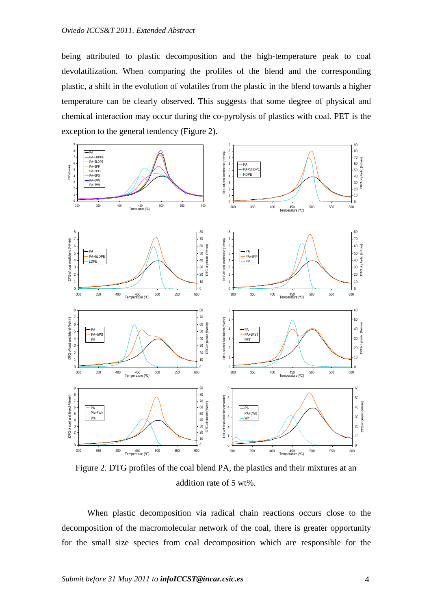being attributed to plastic decomposition and the high-temperature peak to coal devolatilization. When comparing the profiles of the blend and the corresponding plastic, a shift in the evolution of volatiles from the plastic in the blend towards a higher temperature can be clearly observed. This suggests that some degree of physical and chemical interaction may occur during the co-pyrolysis of plastics with coal. PET is the exception to the general tendency (Figure 2).



Figure 2. DTG profiles of the coal blend PA, the plastics and their mixtures at an addition rate of 5 wt%.

 When plastic decomposition via radical chain reactions occurs close to the decomposition of the macromolecular network of the coal, there is greater opportunity for the small size species from coal decomposition which are responsible for the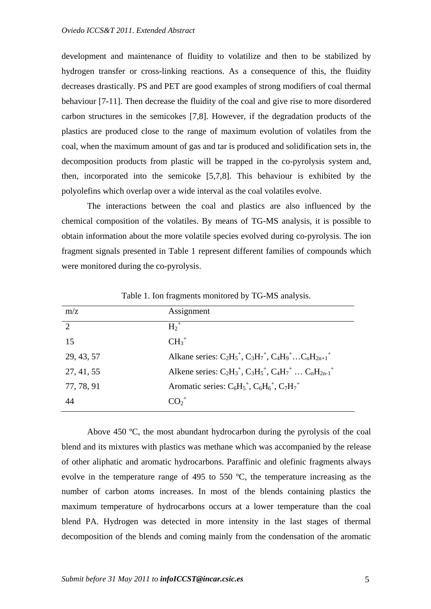development and maintenance of fluidity to volatilize and then to be stabilized by hydrogen transfer or cross-linking reactions. As a consequence of this, the fluidity decreases drastically. PS and PET are good examples of strong modifiers of coal thermal behaviour [7-11]. Then decrease the fluidity of the coal and give rise to more disordered carbon structures in the semicokes [7,8]. However, if the degradation products of the plastics are produced close to the range of maximum evolution of volatiles from the coal, when the maximum amount of gas and tar is produced and solidification sets in, the decomposition products from plastic will be trapped in the co-pyrolysis system and, then, incorporated into the semicoke [5,7,8]. This behaviour is exhibited by the polyolefins which overlap over a wide interval as the coal volatiles evolve.

 The interactions between the coal and plastics are also influenced by the chemical composition of the volatiles. By means of TG-MS analysis, it is possible to obtain information about the more volatile species evolved during co-pyrolysis. The ion fragment signals presented in Table 1 represent different families of compounds which were monitored during the co-pyrolysis.

| m/z           | Assignment                                                          |
|---------------|---------------------------------------------------------------------|
| $\mathcal{L}$ | $H_2^+$                                                             |
| 15            | $CH_3^+$                                                            |
| 29, 43, 57    | Alkane series: $C_2H_5^+$ , $C_3H_7^+$ , $C_4H_9^+$ $C_nH_{2n+1}^+$ |
| 27, 41, 55    | Alkene series: $C_2H_3^+$ , $C_3H_5^+$ , $C_4H_7^+$ $C_nH_{2n-1}^+$ |
| 77, 78, 91    | Aromatic series: $C_6H_5^+$ , $C_6H_6^+$ , $C_7H_7^+$               |
| 44            | $\Omega$ <sup>+</sup>                                               |

Table 1. Ion fragments monitored by TG-MS analysis.

 Above 450 ºC, the most abundant hydrocarbon during the pyrolysis of the coal blend and its mixtures with plastics was methane which was accompanied by the release of other aliphatic and aromatic hydrocarbons. Paraffinic and olefinic fragments always evolve in the temperature range of 495 to 550 ºC, the temperature increasing as the number of carbon atoms increases. In most of the blends containing plastics the maximum temperature of hydrocarbons occurs at a lower temperature than the coal blend PA. Hydrogen was detected in more intensity in the last stages of thermal decomposition of the blends and coming mainly from the condensation of the aromatic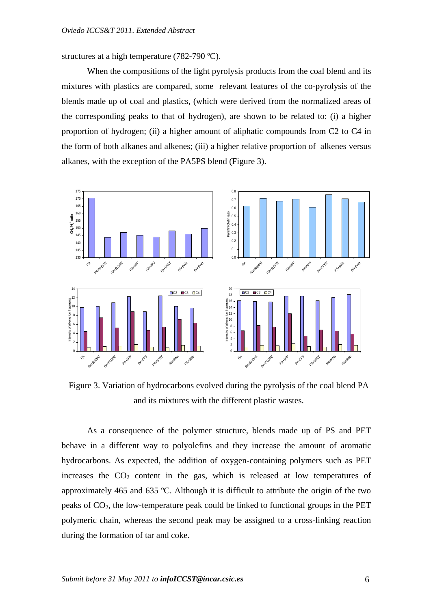structures at a high temperature (782-790 ºC).

When the compositions of the light pyrolysis products from the coal blend and its mixtures with plastics are compared, some relevant features of the co-pyrolysis of the blends made up of coal and plastics, (which were derived from the normalized areas of the corresponding peaks to that of hydrogen), are shown to be related to: (i) a higher proportion of hydrogen; (ii) a higher amount of aliphatic compounds from C2 to C4 in the form of both alkanes and alkenes; (iii) a higher relative proportion of alkenes versus alkanes, with the exception of the PA5PS blend (Figure 3).



Figure 3. Variation of hydrocarbons evolved during the pyrolysis of the coal blend PA and its mixtures with the different plastic wastes.

 As a consequence of the polymer structure, blends made up of PS and PET behave in a different way to polyolefins and they increase the amount of aromatic hydrocarbons. As expected, the addition of oxygen-containing polymers such as PET increases the  $CO<sub>2</sub>$  content in the gas, which is released at low temperatures of approximately 465 and 635 ºC. Although it is difficult to attribute the origin of the two peaks of  $CO<sub>2</sub>$ , the low-temperature peak could be linked to functional groups in the PET polymeric chain, whereas the second peak may be assigned to a cross-linking reaction during the formation of tar and coke.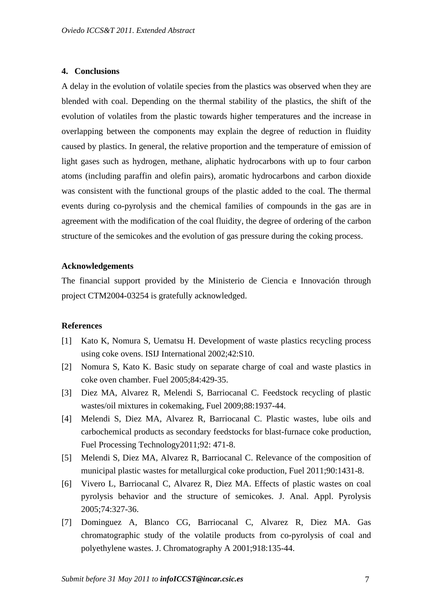#### **4. Conclusions**

A delay in the evolution of volatile species from the plastics was observed when they are blended with coal. Depending on the thermal stability of the plastics, the shift of the evolution of volatiles from the plastic towards higher temperatures and the increase in overlapping between the components may explain the degree of reduction in fluidity caused by plastics. In general, the relative proportion and the temperature of emission of light gases such as hydrogen, methane, aliphatic hydrocarbons with up to four carbon atoms (including paraffin and olefin pairs), aromatic hydrocarbons and carbon dioxide was consistent with the functional groups of the plastic added to the coal. The thermal events during co-pyrolysis and the chemical families of compounds in the gas are in agreement with the modification of the coal fluidity, the degree of ordering of the carbon structure of the semicokes and the evolution of gas pressure during the coking process.

### **Acknowledgements**

The financial support provided by the Ministerio de Ciencia e Innovación through project CTM2004-03254 is gratefully acknowledged.

## **References**

- [1] Kato K, Nomura S, Uematsu H. Development of waste plastics recycling process using coke ovens. ISIJ International 2002;42:S10.
- [2] Nomura S, Kato K. Basic study on separate charge of coal and waste plastics in coke oven chamber. Fuel 2005;84:429-35.
- [3] Diez MA, Alvarez R, Melendi S, Barriocanal C. Feedstock recycling of plastic wastes/oil mixtures in cokemaking, Fuel 2009;88:1937-44.
- [4] Melendi S, Diez MA, Alvarez R, Barriocanal C. Plastic wastes, lube oils and carbochemical products as secondary feedstocks for blast-furnace coke production, Fuel Processing Technology2011;92: 471-8.
- [5] Melendi S, Diez MA, Alvarez R, Barriocanal C. Relevance of the composition of municipal plastic wastes for metallurgical coke production, Fuel 2011;90:1431-8.
- [6] Vivero L, Barriocanal C, Alvarez R, Diez MA. Effects of plastic wastes on coal pyrolysis behavior and the structure of semicokes. J. Anal. Appl. Pyrolysis 2005;74:327-36.
- [7] Dominguez A, Blanco CG, Barriocanal C, Alvarez R, Diez MA. Gas chromatographic study of the volatile products from co-pyrolysis of coal and polyethylene wastes. J. Chromatography A 2001;918:135-44.